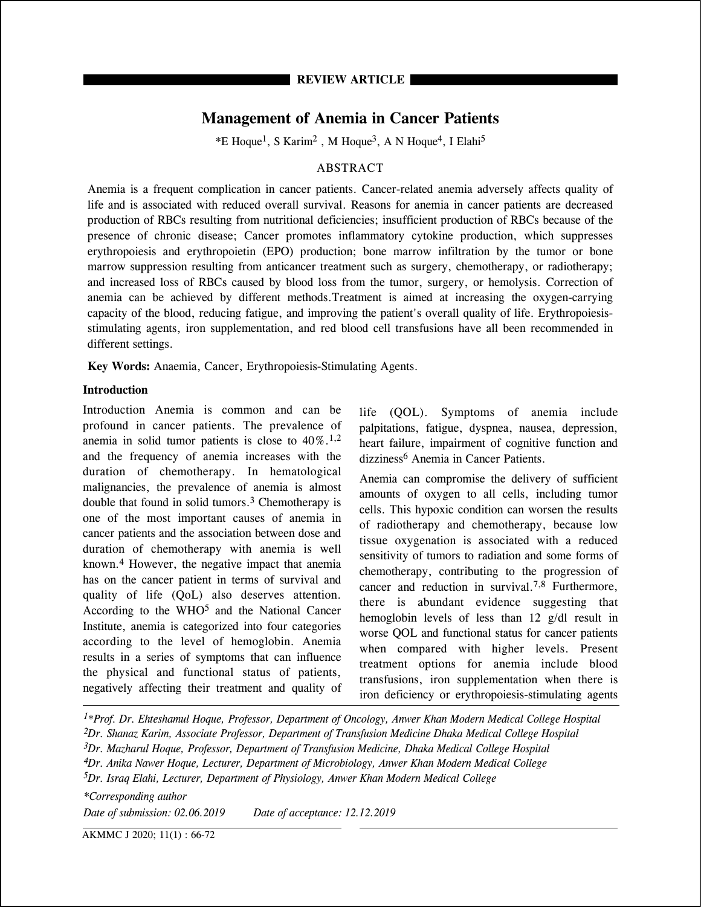# **Management of Anemia in Cancer Patients**

 $*E$  Hoque<sup>1</sup>, S Karim<sup>2</sup>, M Hoque<sup>3</sup>, A N Hoque<sup>4</sup>, I Elahi<sup>5</sup>

## ABSTRACT

Anemia is a frequent complication in cancer patients. Cancer-related anemia adversely affects quality of life and is associated with reduced overall survival. Reasons for anemia in cancer patients are decreased production of RBCs resulting from nutritional deficiencies; insufficient production of RBCs because of the presence of chronic disease; Cancer promotes inflammatory cytokine production, which suppresses erythropoiesis and erythropoietin (EPO) production; bone marrow infiltration by the tumor or bone marrow suppression resulting from anticancer treatment such as surgery, chemotherapy, or radiotherapy; and increased loss of RBCs caused by blood loss from the tumor, surgery, or hemolysis. Correction of anemia can be achieved by different methods.Treatment is aimed at increasing the oxygen-carrying capacity of the blood, reducing fatigue, and improving the patient's overall quality of life. Erythropoiesisstimulating agents, iron supplementation, and red blood cell transfusions have all been recommended in different settings.

**Key Words:** Anaemia, Cancer, Erythropoiesis-Stimulating Agents.

## **Introduction**

Introduction Anemia is common and can be profound in cancer patients. The prevalence of anemia in solid tumor patients is close to  $40\%$ .<sup>1,2</sup> and the frequency of anemia increases with the duration of chemotherapy. In hematological malignancies, the prevalence of anemia is almost double that found in solid tumors.3 Chemotherapy is one of the most important causes of anemia in cancer patients and the association between dose and duration of chemotherapy with anemia is well known.4 However, the negative impact that anemia has on the cancer patient in terms of survival and quality of life (QoL) also deserves attention. According to the WHO5 and the National Cancer Institute, anemia is categorized into four categories according to the level of hemoglobin. Anemia results in a series of symptoms that can influence the physical and functional status of patients, negatively affecting their treatment and quality of

life (QOL). Symptoms of anemia include palpitations, fatigue, dyspnea, nausea, depression, heart failure, impairment of cognitive function and dizziness<sup>6</sup> Anemia in Cancer Patients.

Anemia can compromise the delivery of sufficient amounts of oxygen to all cells, including tumor cells. This hypoxic condition can worsen the results of radiotherapy and chemotherapy, because low tissue oxygenation is associated with a reduced sensitivity of tumors to radiation and some forms of chemotherapy, contributing to the progression of cancer and reduction in survival.7,8 Furthermore, there is abundant evidence suggesting that hemoglobin levels of less than 12 g/dl result in worse QOL and functional status for cancer patients when compared with higher levels. Present treatment options for anemia include blood transfusions, iron supplementation when there is iron deficiency or erythropoiesis-stimulating agents

*1\*Prof. Dr. Ehteshamul Hoque, Professor, Department of Oncology, Anwer Khan Modern Medical College Hospital 2Dr. Shanaz Karim, Associate Professor, Department of Transfusion Medicine Dhaka Medical College Hospital 3Dr. Mazharul Hoque, Professor, Department of Transfusion Medicine, Dhaka Medical College Hospital 4Dr. Anika Nawer Hoque, Lecturer, Department of Microbiology, Anwer Khan Modern Medical College 5Dr. Israq Elahi, Lecturer, Department of Physiology, Anwer Khan Modern Medical College*

*\*Corresponding author Date of submission: 02.06.2019 Date of acceptance: 12.12.2019*

AKMMC J 2020; 11(1) : 66-72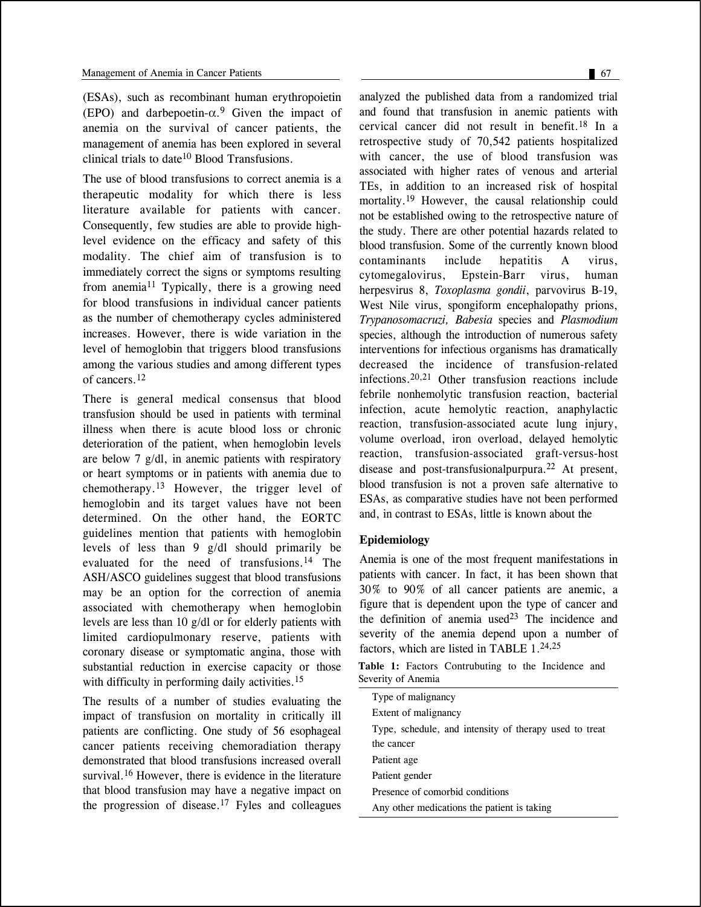(ESAs), such as recombinant human erythropoietin (EPO) and darbepoetin- $\alpha$ <sup>9</sup> Given the impact of anemia on the survival of cancer patients, the management of anemia has been explored in several clinical trials to date<sup>10</sup> Blood Transfusions.

The use of blood transfusions to correct anemia is a therapeutic modality for which there is less literature available for patients with cancer. Consequently, few studies are able to provide highlevel evidence on the efficacy and safety of this modality. The chief aim of transfusion is to immediately correct the signs or symptoms resulting from anemia<sup>11</sup> Typically, there is a growing need for blood transfusions in individual cancer patients as the number of chemotherapy cycles administered increases. However, there is wide variation in the level of hemoglobin that triggers blood transfusions among the various studies and among different types of cancers.<sup>12</sup>

There is general medical consensus that blood transfusion should be used in patients with terminal illness when there is acute blood loss or chronic deterioration of the patient, when hemoglobin levels are below 7 g/dl, in anemic patients with respiratory or heart symptoms or in patients with anemia due to chemotherapy.13 However, the trigger level of hemoglobin and its target values have not been determined. On the other hand, the EORTC guidelines mention that patients with hemoglobin levels of less than 9 g/dl should primarily be evaluated for the need of transfusions.14 The ASH/ASCO guidelines suggest that blood transfusions may be an option for the correction of anemia associated with chemotherapy when hemoglobin levels are less than 10 g/dl or for elderly patients with limited cardiopulmonary reserve, patients with coronary disease or symptomatic angina, those with substantial reduction in exercise capacity or those with difficulty in performing daily activities.<sup>15</sup>

The results of a number of studies evaluating the impact of transfusion on mortality in critically ill patients are conflicting. One study of 56 esophageal cancer patients receiving chemoradiation therapy demonstrated that blood transfusions increased overall survival.<sup>16</sup> However, there is evidence in the literature that blood transfusion may have a negative impact on the progression of disease.17 Fyles and colleagues

analyzed the published data from a randomized trial and found that transfusion in anemic patients with cervical cancer did not result in benefit.18 In a retrospective study of 70,542 patients hospitalized with cancer, the use of blood transfusion was associated with higher rates of venous and arterial TEs, in addition to an increased risk of hospital mortality.<sup>19</sup> However, the causal relationship could not be established owing to the retrospective nature of the study. There are other potential hazards related to blood transfusion. Some of the currently known blood contaminants include hepatitis A virus, cytomegalovirus, Epstein-Barr virus, human herpesvirus 8, *Toxoplasma gondii*, parvovirus B-19, West Nile virus, spongiform encephalopathy prions, *Trypanosomacruzi, Babesia* species and *Plasmodium* species, although the introduction of numerous safety interventions for infectious organisms has dramatically decreased the incidence of transfusion-related infections.20,21 Other transfusion reactions include febrile nonhemolytic transfusion reaction, bacterial infection, acute hemolytic reaction, anaphylactic reaction, transfusion-associated acute lung injury, volume overload, iron overload, delayed hemolytic reaction, transfusion-associated graft-versus-host disease and post-transfusionalpurpura.22 At present, blood transfusion is not a proven safe alternative to ESAs, as comparative studies have not been performed and, in contrast to ESAs, little is known about the

### **Epidemiology**

Anemia is one of the most frequent manifestations in patients with cancer. In fact, it has been shown that 30% to 90% of all cancer patients are anemic, a figure that is dependent upon the type of cancer and the definition of anemia used<sup>23</sup> The incidence and severity of the anemia depend upon a number of factors, which are listed in TABLE  $1.24,25$ 

**Table 1:** Factors Contrubuting to the Incidence and Severity of Anemia

| Type of malignancy                                     |  |  |
|--------------------------------------------------------|--|--|
| Extent of malignancy                                   |  |  |
| Type, schedule, and intensity of therapy used to treat |  |  |
| the cancer                                             |  |  |
| Patient age                                            |  |  |
| Patient gender                                         |  |  |
| Presence of comorbid conditions                        |  |  |
| Any other medications the patient is taking            |  |  |
|                                                        |  |  |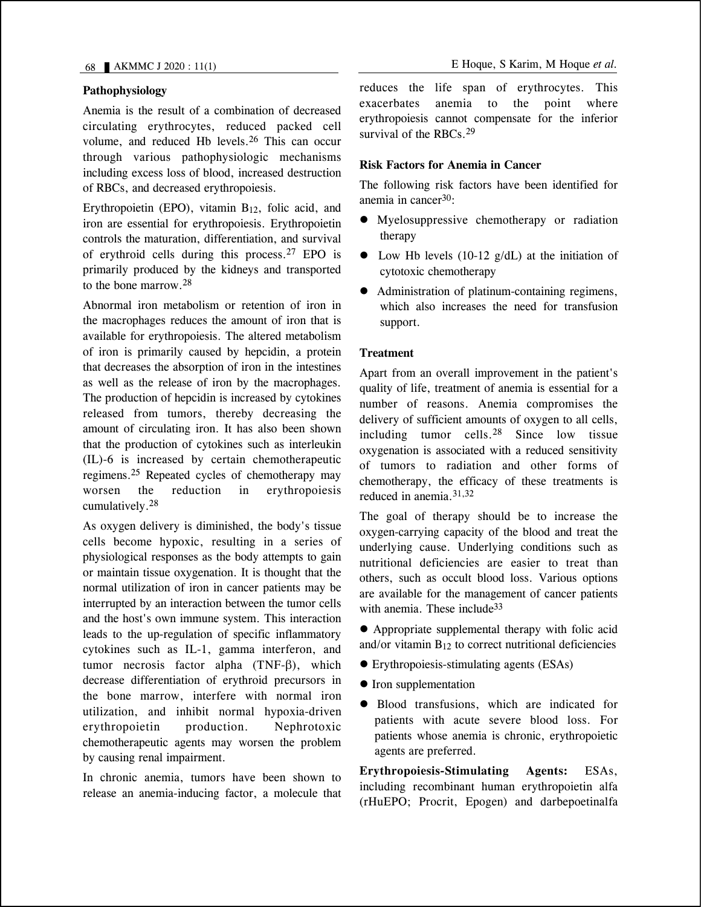# **Pathophysiology**

Anemia is the result of a combination of decreased circulating erythrocytes, reduced packed cell volume, and reduced Hb levels.26 This can occur through various pathophysiologic mechanisms including excess loss of blood, increased destruction of RBCs, and decreased erythropoiesis.

Erythropoietin (EPO), vitamin  $B_{12}$ , folic acid, and iron are essential for erythropoiesis. Erythropoietin controls the maturation, differentiation, and survival of erythroid cells during this process.27 EPO is primarily produced by the kidneys and transported to the bone marrow.28

Abnormal iron metabolism or retention of iron in the macrophages reduces the amount of iron that is available for erythropoiesis. The altered metabolism of iron is primarily caused by hepcidin, a protein that decreases the absorption of iron in the intestines as well as the release of iron by the macrophages. The production of hepcidin is increased by cytokines released from tumors, thereby decreasing the amount of circulating iron. It has also been shown that the production of cytokines such as interleukin (IL)-6 is increased by certain chemotherapeutic regimens.25 Repeated cycles of chemotherapy may worsen the reduction in erythropoiesis cumulatively.28

As oxygen delivery is diminished, the body's tissue cells become hypoxic, resulting in a series of physiological responses as the body attempts to gain or maintain tissue oxygenation. It is thought that the normal utilization of iron in cancer patients may be interrupted by an interaction between the tumor cells and the host's own immune system. This interaction leads to the up-regulation of specific inflammatory cytokines such as IL-1, gamma interferon, and tumor necrosis factor alpha (TNF-β), which decrease differentiation of erythroid precursors in the bone marrow, interfere with normal iron utilization, and inhibit normal hypoxia-driven erythropoietin production. Nephrotoxic chemotherapeutic agents may worsen the problem by causing renal impairment.

In chronic anemia, tumors have been shown to release an anemia-inducing factor, a molecule that reduces the life span of erythrocytes. This exacerbates anemia to the point where erythropoiesis cannot compensate for the inferior survival of the RBCs.<sup>29</sup>

## **Risk Factors for Anemia in Cancer**

The following risk factors have been identified for anemia in cancer30:

- Myelosuppressive chemotherapy or radiation therapy
- $\bullet$  Low Hb levels (10-12 g/dL) at the initiation of cytotoxic chemotherapy
- Administration of platinum-containing regimens, which also increases the need for transfusion support.

## **Treatment**

Apart from an overall improvement in the patient's quality of life, treatment of anemia is essential for a number of reasons. Anemia compromises the delivery of sufficient amounts of oxygen to all cells, including tumor cells.28 Since low tissue oxygenation is associated with a reduced sensitivity of tumors to radiation and other forms of chemotherapy, the efficacy of these treatments is reduced in anemia. $31,32$ 

The goal of therapy should be to increase the oxygen-carrying capacity of the blood and treat the underlying cause. Underlying conditions such as nutritional deficiencies are easier to treat than others, such as occult blood loss. Various options are available for the management of cancer patients with anemia. These include<sup>33</sup>

 Appropriate supplemental therapy with folic acid and/or vitamin  $B_{12}$  to correct nutritional deficiencies

- Erythropoiesis-stimulating agents (ESAs)
- Iron supplementation
- Blood transfusions, which are indicated for patients with acute severe blood loss. For patients whose anemia is chronic, erythropoietic agents are preferred.

**Erythropoiesis-Stimulating Agents:** ESAs, including recombinant human erythropoietin alfa (rHuEPO; Procrit, Epogen) and darbepoetinalfa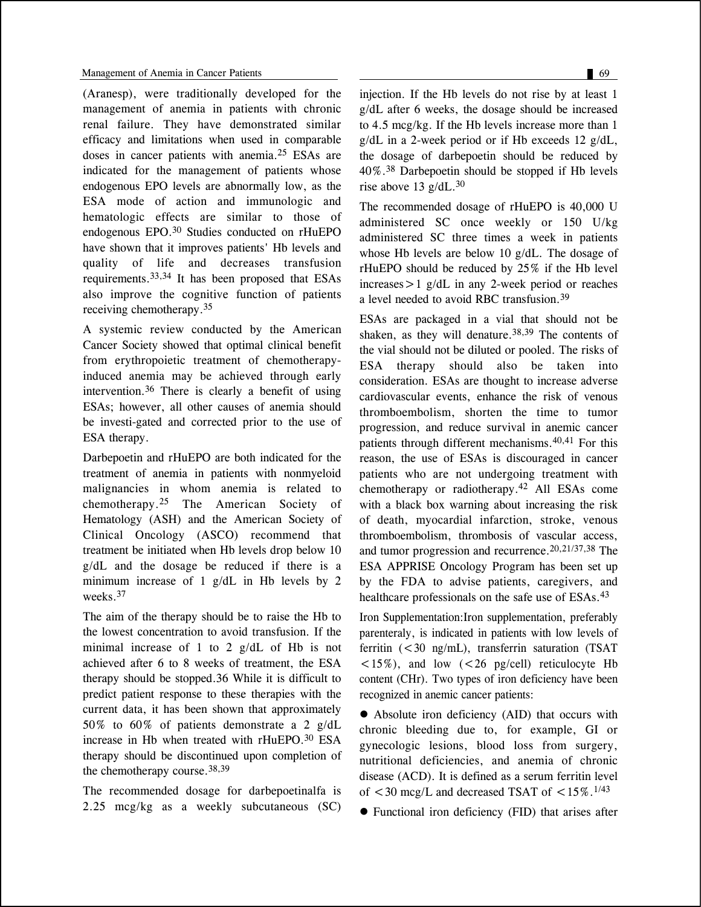(Aranesp), were traditionally developed for the management of anemia in patients with chronic renal failure. They have demonstrated similar efficacy and limitations when used in comparable doses in cancer patients with anemia.25 ESAs are indicated for the management of patients whose endogenous EPO levels are abnormally low, as the ESA mode of action and immunologic and hematologic effects are similar to those of endogenous EPO.30 Studies conducted on rHuEPO have shown that it improves patients' Hb levels and quality of life and decreases transfusion requirements.33,34 It has been proposed that ESAs also improve the cognitive function of patients receiving chemotherapy.35

A systemic review conducted by the American Cancer Society showed that optimal clinical benefit from erythropoietic treatment of chemotherapyinduced anemia may be achieved through early intervention.36 There is clearly a benefit of using ESAs; however, all other causes of anemia should be investi-gated and corrected prior to the use of ESA therapy.

Darbepoetin and rHuEPO are both indicated for the treatment of anemia in patients with nonmyeloid malignancies in whom anemia is related to chemotherapy.25 The American Society of Hematology (ASH) and the American Society of Clinical Oncology (ASCO) recommend that treatment be initiated when Hb levels drop below 10 g/dL and the dosage be reduced if there is a minimum increase of 1 g/dL in Hb levels by 2 weeks.<sup>37</sup>

The aim of the therapy should be to raise the Hb to the lowest concentration to avoid transfusion. If the minimal increase of 1 to 2 g/dL of Hb is not achieved after 6 to 8 weeks of treatment, the ESA therapy should be stopped.36 While it is difficult to predict patient response to these therapies with the current data, it has been shown that approximately 50% to 60% of patients demonstrate a 2 g/dL increase in Hb when treated with rHuEPO.30 ESA therapy should be discontinued upon completion of the chemotherapy course.38,39

The recommended dosage for darbepoetinalfa is 2.25 mcg/kg as a weekly subcutaneous (SC) injection. If the Hb levels do not rise by at least 1 g/dL after 6 weeks, the dosage should be increased to 4.5 mcg/kg. If the Hb levels increase more than 1 g/dL in a 2-week period or if Hb exceeds 12 g/dL, the dosage of darbepoetin should be reduced by  $40\%$ .<sup>38</sup> Darbepoetin should be stopped if Hb levels rise above 13  $g/dL$ .<sup>30</sup>

The recommended dosage of rHuEPO is 40,000 U administered SC once weekly or 150 U/kg administered SC three times a week in patients whose Hb levels are below 10 g/dL. The dosage of rHuEPO should be reduced by 25% if the Hb level  $increases > 1$  g/dL in any 2-week period or reaches a level needed to avoid RBC transfusion.<sup>39</sup>

ESAs are packaged in a vial that should not be shaken, as they will denature.<sup>38,39</sup> The contents of the vial should not be diluted or pooled. The risks of ESA therapy should also be taken into consideration. ESAs are thought to increase adverse cardiovascular events, enhance the risk of venous thromboembolism, shorten the time to tumor progression, and reduce survival in anemic cancer patients through different mechanisms.40,41 For this reason, the use of ESAs is discouraged in cancer patients who are not undergoing treatment with chemotherapy or radiotherapy.42 All ESAs come with a black box warning about increasing the risk of death, myocardial infarction, stroke, venous thromboembolism, thrombosis of vascular access, and tumor progression and recurrence.20,21/37,38 The ESA APPRISE Oncology Program has been set up by the FDA to advise patients, caregivers, and healthcare professionals on the safe use of ESAs.<sup>43</sup>

Iron Supplementation:Iron supplementation, preferably parenteraly, is indicated in patients with low levels of ferritin (<30 ng/mL), transferrin saturation (TSAT  $\langle 15\% \rangle$ , and low ( $\langle 26 \rangle$  pg/cell) reticulocyte Hb content (CHr). Two types of iron deficiency have been recognized in anemic cancer patients:

 Absolute iron deficiency (AID) that occurs with chronic bleeding due to, for example, GI or gynecologic lesions, blood loss from surgery, nutritional deficiencies, and anemia of chronic disease (ACD). It is defined as a serum ferritin level of  $\leq$  30 mcg/L and decreased TSAT of  $\leq$  15%.<sup>1/43</sup>

Functional iron deficiency (FID) that arises after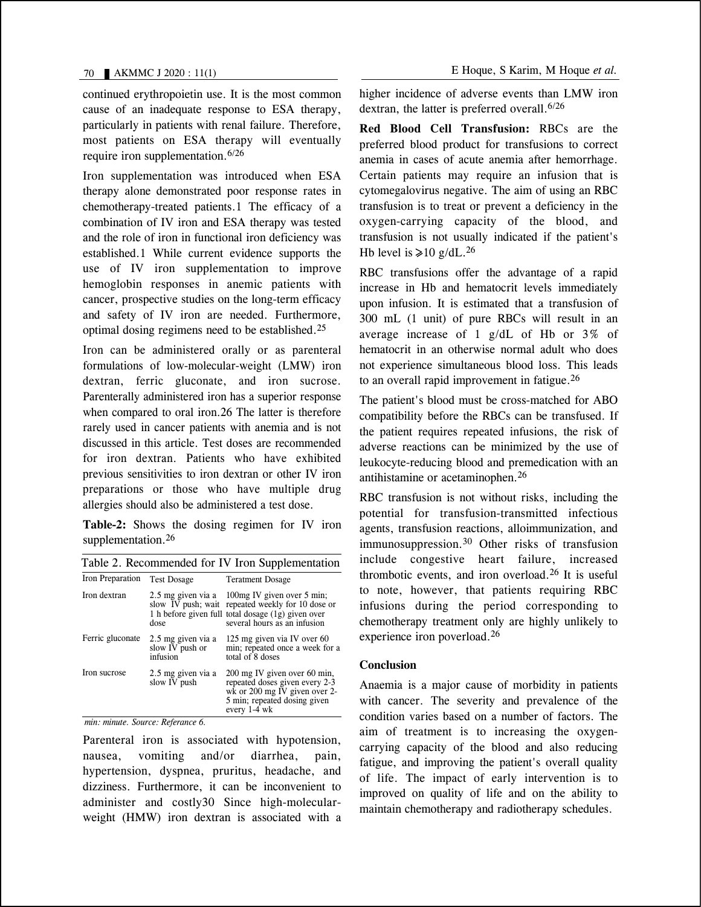continued erythropoietin use. It is the most common cause of an inadequate response to ESA therapy, particularly in patients with renal failure. Therefore, most patients on ESA therapy will eventually require iron supplementation.6/26

Iron supplementation was introduced when ESA therapy alone demonstrated poor response rates in chemotherapy-treated patients.1 The efficacy of a combination of IV iron and ESA therapy was tested and the role of iron in functional iron deficiency was established.1 While current evidence supports the use of IV iron supplementation to improve hemoglobin responses in anemic patients with cancer, prospective studies on the long-term efficacy and safety of IV iron are needed. Furthermore, optimal dosing regimens need to be established.<sup>25</sup>

Iron can be administered orally or as parenteral formulations of low-molecular-weight (LMW) iron dextran, ferric gluconate, and iron sucrose. Parenterally administered iron has a superior response when compared to oral iron.26 The latter is therefore rarely used in cancer patients with anemia and is not discussed in this article. Test doses are recommended for iron dextran. Patients who have exhibited previous sensitivities to iron dextran or other IV iron preparations or those who have multiple drug allergies should also be administered a test dose.

**Table-2:** Shows the dosing regimen for IV iron supplementation.<sup>26</sup>

| Table 2. Recommended for IV Iron Supplementation |                                                   |                                                                                                                                                                        |  |
|--------------------------------------------------|---------------------------------------------------|------------------------------------------------------------------------------------------------------------------------------------------------------------------------|--|
| Iron Preparation                                 | <b>Test Dosage</b>                                | <b>Teratment Dosage</b>                                                                                                                                                |  |
| Iron dextran                                     | 2.5 mg given via a<br>dose                        | 100 mg IV given over 5 min;<br>slow IV push; wait repeated weekly for 10 dose or<br>1 h before given full total dosage (1g) given over<br>several hours as an infusion |  |
| Ferric gluconate                                 | 2.5 mg given via a<br>slow IV push or<br>infusion | 125 mg given via IV over 60<br>min; repeated once a week for a<br>total of 8 doses                                                                                     |  |
| Iron sucrose                                     | 2.5 mg given via a<br>slow IV push                | 200 mg IV given over 60 min,<br>repeated doses given every 2-3<br>wk or 200 mg IV given over 2-<br>5 min; repeated dosing given<br>every 1-4 wk                        |  |

*min: minute. Source: Referance 6.*

Parenteral iron is associated with hypotension, nausea, vomiting and/or diarrhea, pain, hypertension, dyspnea, pruritus, headache, and dizziness. Furthermore, it can be inconvenient to administer and costly30 Since high-molecularweight (HMW) iron dextran is associated with a higher incidence of adverse events than LMW iron dextran, the latter is preferred overall.  $6/26$ 

**Red Blood Cell Transfusion:** RBCs are the preferred blood product for transfusions to correct anemia in cases of acute anemia after hemorrhage. Certain patients may require an infusion that is cytomegalovirus negative. The aim of using an RBC transfusion is to treat or prevent a deficiency in the oxygen-carrying capacity of the blood, and transfusion is not usually indicated if the patient's Hb level is  $\ge 10$  g/dL.<sup>26</sup>

RBC transfusions offer the advantage of a rapid increase in Hb and hematocrit levels immediately upon infusion. It is estimated that a transfusion of 300 mL (1 unit) of pure RBCs will result in an average increase of 1  $g/dL$  of Hb or 3% of hematocrit in an otherwise normal adult who does not experience simultaneous blood loss. This leads to an overall rapid improvement in fatigue.<sup>26</sup>

The patient's blood must be cross-matched for ABO compatibility before the RBCs can be transfused. If the patient requires repeated infusions, the risk of adverse reactions can be minimized by the use of leukocyte-reducing blood and premedication with an antihistamine or acetaminophen.<sup>26</sup>

RBC transfusion is not without risks, including the potential for transfusion-transmitted infectious agents, transfusion reactions, alloimmunization, and immunosuppression.30 Other risks of transfusion include congestive heart failure, increased thrombotic events, and iron overload.26 It is useful to note, however, that patients requiring RBC infusions during the period corresponding to chemotherapy treatment only are highly unlikely to experience iron poverload.26

### **Conclusion**

Anaemia is a major cause of morbidity in patients with cancer. The severity and prevalence of the condition varies based on a number of factors. The aim of treatment is to increasing the oxygencarrying capacity of the blood and also reducing fatigue, and improving the patient's overall quality of life. The impact of early intervention is to improved on quality of life and on the ability to maintain chemotherapy and radiotherapy schedules.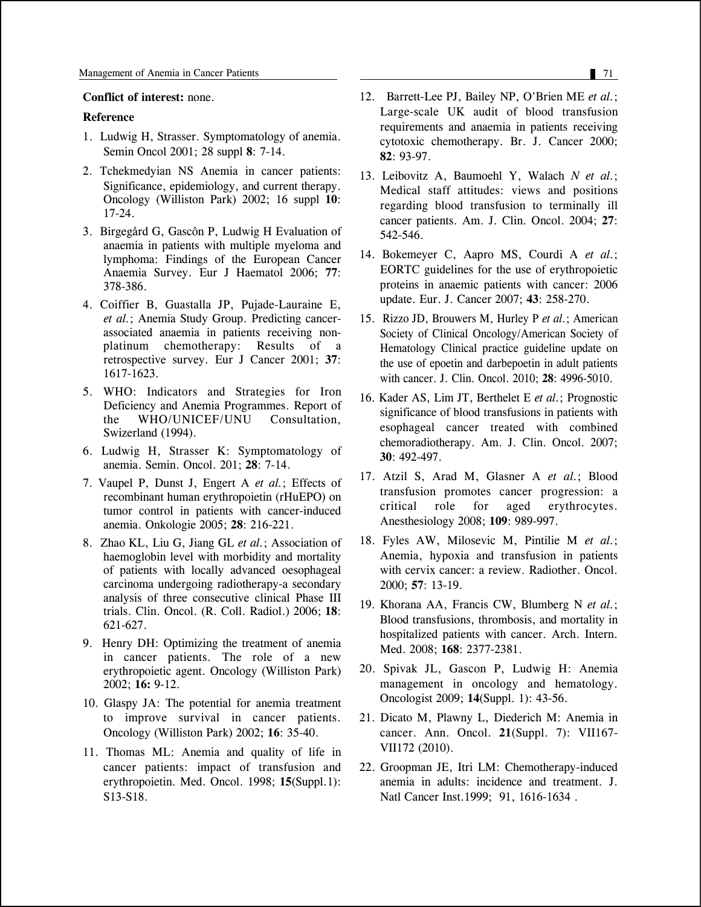#### **Conflict of interest:** none.

#### **Reference**

- 1. Ludwig H, Strasser. Symptomatology of anemia. Semin Oncol 2001; 28 suppl **8**: 7-14.
- 2. Tchekmedyian NS Anemia in cancer patients: Significance, epidemiology, and current therapy. Oncology (Williston Park) 2002; 16 suppl **10**: 17-24.
- 3. Birgegård G, Gascôn P, Ludwig H Evaluation of anaemia in patients with multiple myeloma and lymphoma: Findings of the European Cancer Anaemia Survey. Eur J Haematol 2006; **77**: 378-386.
- 4. Coiffier B, Guastalla JP, Pujade-Lauraine E, *et al.*; Anemia Study Group. Predicting cancerassociated anaemia in patients receiving nonplatinum chemotherapy: Results of a retrospective survey. Eur J Cancer 2001; **37**: 1617-1623.
- 5. WHO: Indicators and Strategies for Iron Deficiency and Anemia Programmes. Report of<br>the WHO/UNICEF/UNU Consultation. WHO/UNICEF/UNU Consultation, Swizerland (1994).
- 6. Ludwig H, Strasser K: Symptomatology of anemia. Semin. Oncol. 201; **28**: 7-14.
- 7. Vaupel P, Dunst J, Engert A *et al.*; Effects of recombinant human erythropoietin (rHuEPO) on tumor control in patients with cancer-induced anemia. Onkologie 2005; **28**: 216-221.
- 8. Zhao KL, Liu G, Jiang GL *et al.*; Association of haemoglobin level with morbidity and mortality of patients with locally advanced oesophageal carcinoma undergoing radiotherapy-a secondary analysis of three consecutive clinical Phase III trials. Clin. Oncol. (R. Coll. Radiol.) 2006; **18**: 621-627.
- 9. Henry DH: Optimizing the treatment of anemia in cancer patients. The role of a new erythropoietic agent. Oncology (Williston Park) 2002; **16:** 9-12.
- 10. Glaspy JA: The potential for anemia treatment to improve survival in cancer patients. Oncology (Williston Park) 2002; **16**: 35-40.
- 11. Thomas ML: Anemia and quality of life in cancer patients: impact of transfusion and erythropoietin. Med. Oncol. 1998; **15**(Suppl.1): S13-S18.
- 12. Barrett-Lee PJ, Bailey NP, O'Brien ME *et al.*; Large-scale UK audit of blood transfusion requirements and anaemia in patients receiving cytotoxic chemotherapy. Br. J. Cancer 2000; **82**: 93-97.
- 13. Leibovitz A, Baumoehl Y, Walach *N et al.*; Medical staff attitudes: views and positions regarding blood transfusion to terminally ill cancer patients. Am. J. Clin. Oncol. 2004; **27**: 542-546.
- 14. Bokemeyer C, Aapro MS, Courdi A *et al.*; EORTC guidelines for the use of erythropoietic proteins in anaemic patients with cancer: 2006 update. Eur. J. Cancer 2007; **43**: 258-270.
- 15. Rizzo JD, Brouwers M, Hurley P *et al.*; American Society of Clinical Oncology/American Society of Hematology Clinical practice guideline update on the use of epoetin and darbepoetin in adult patients with cancer. J. Clin. Oncol. 2010; **28**: 4996-5010.
- 16. Kader AS, Lim JT, Berthelet E *et al.*; Prognostic significance of blood transfusions in patients with esophageal cancer treated with combined chemoradiotherapy. Am. J. Clin. Oncol. 2007; **30**: 492-497.
- 17. Atzil S, Arad M, Glasner A *et al.*; Blood transfusion promotes cancer progression: a critical role for aged erythrocytes. Anesthesiology 2008; **109**: 989-997.
- 18. Fyles AW, Milosevic M, Pintilie M *et al.*; Anemia, hypoxia and transfusion in patients with cervix cancer: a review. Radiother. Oncol. 2000; **57**: 13-19.
- 19. Khorana AA, Francis CW, Blumberg N *et al.*; Blood transfusions, thrombosis, and mortality in hospitalized patients with cancer. Arch. Intern. Med. 2008; **168**: 2377-2381.
- 20. Spivak JL, Gascon P, Ludwig H: Anemia management in oncology and hematology. Oncologist 2009; **14**(Suppl. 1): 43-56.
- 21. Dicato M, Plawny L, Diederich M: Anemia in cancer. Ann. Oncol. **21**(Suppl. 7): VII167- VII172 (2010).
- 22. Groopman JE, Itri LM: Chemotherapy-induced anemia in adults: incidence and treatment. J. Natl Cancer Inst.1999; 91, 1616-1634 .